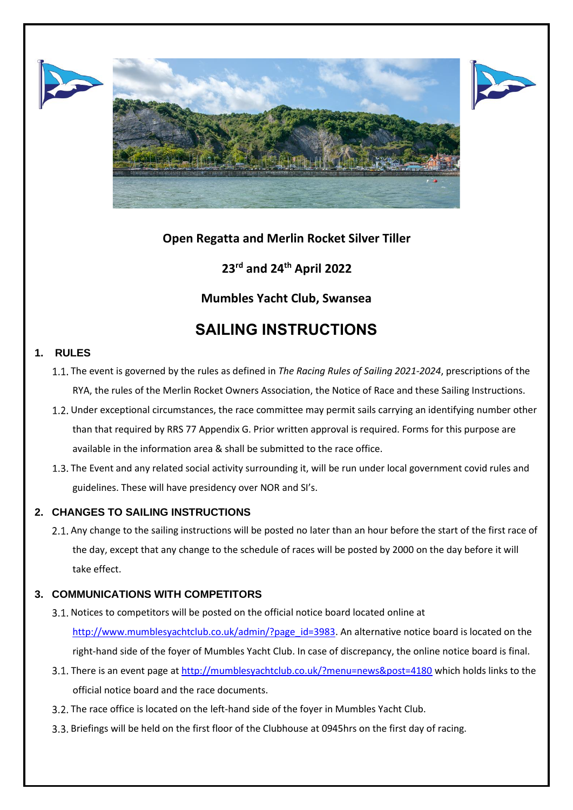





# **Open Regatta and Merlin Rocket Silver Tiller**

# **23rd and 24th April 2022**

# **Mumbles Yacht Club, Swansea**

# **SAILING INSTRUCTIONS**

## **1. RULES**

- The event is governed by the rules as defined in *The Racing Rules of Sailing 2021-2024*, prescriptions of the RYA, the rules of the Merlin Rocket Owners Association, the Notice of Race and these Sailing Instructions.
- 1.2. Under exceptional circumstances, the race committee may permit sails carrying an identifying number other than that required by RRS 77 Appendix G. Prior written approval is required. Forms for this purpose are available in the information area & shall be submitted to the race office.
- 1.3. The Event and any related social activity surrounding it, will be run under local government covid rules and guidelines. These will have presidency over NOR and SI's.

# **2. CHANGES TO SAILING INSTRUCTIONS**

2.1. Any change to the sailing instructions will be posted no later than an hour before the start of the first race of the day, except that any change to the schedule of races will be posted by 2000 on the day before it will take effect.

## **3. COMMUNICATIONS WITH COMPETITORS**

- 3.1. Notices to competitors will be posted on the official notice board located online at [http://www.mumblesyachtclub.co.uk/admin/?page\\_id=3983.](http://www.mumblesyachtclub.co.uk/admin/?page_id=3983) An alternative notice board is located on the right-hand side of the foyer of Mumbles Yacht Club. In case of discrepancy, the online notice board is final.
- 3.1. There is an event page a[t http://mumblesyachtclub.co.uk/?menu=news&post=4180](http://mumblesyachtclub.co.uk/?menu=news&post=4180) which holds links to the official notice board and the race documents.
- 3.2. The race office is located on the left-hand side of the foyer in Mumbles Yacht Club.
- Briefings will be held on the first floor of the Clubhouse at 0945hrs on the first day of racing.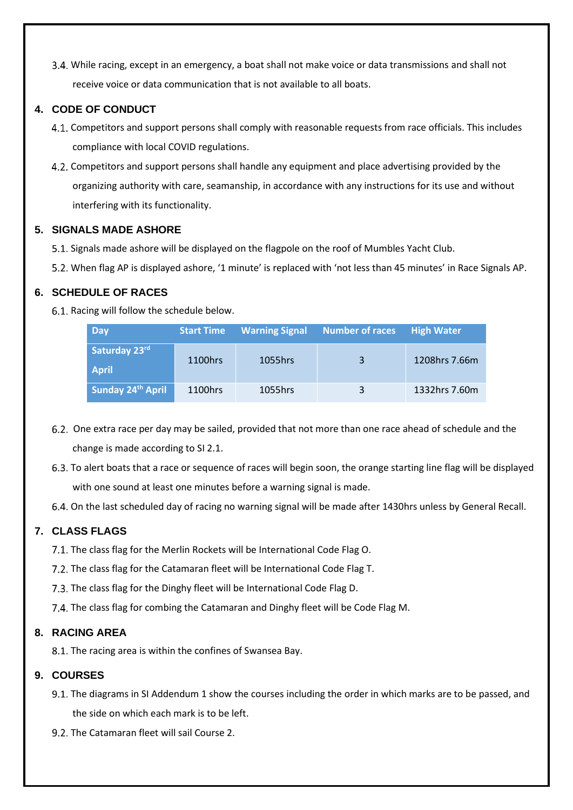While racing, except in an emergency, a boat shall not make voice or data transmissions and shall not receive voice or data communication that is not available to all boats.

# **4. CODE OF CONDUCT**

- 4.1. Competitors and support persons shall comply with reasonable requests from race officials. This includes compliance with local COVID regulations.
- Competitors and support persons shall handle any equipment and place advertising provided by the organizing authority with care, seamanship, in accordance with any instructions for its use and without interfering with its functionality.

# **5. SIGNALS MADE ASHORE**

- Signals made ashore will be displayed on the flagpole on the roof of Mumbles Yacht Club.
- When flag AP is displayed ashore, '1 minute' is replaced with 'not less than 45 minutes' in Race Signals AP.

# **6. SCHEDULE OF RACES**

6.1. Racing will follow the schedule below.

| <b>Day</b>                    | <b>Start Time</b> | <b>Warning Signal</b> | <b>Number of races</b> | <b>High Water</b> |
|-------------------------------|-------------------|-----------------------|------------------------|-------------------|
| Saturday 23rd<br><b>April</b> | 1100hrs           | 1055hrs               | 3                      | 1208hrs 7.66m     |
| Sunday 24th April             | 1100hrs           | 1055hrs               | 3                      | 1332hrs 7.60m     |

- 6.2. One extra race per day may be sailed, provided that not more than one race ahead of schedule and the change is made according to SI 2.1.
- 6.3. To alert boats that a race or sequence of races will begin soon, the orange starting line flag will be displayed with one sound at least one minutes before a warning signal is made.
- 6.4. On the last scheduled day of racing no warning signal will be made after 1430hrs unless by General Recall.

# **7. CLASS FLAGS**

7.1. The class flag for the Merlin Rockets will be International Code Flag O.

- 7.2. The class flag for the Catamaran fleet will be International Code Flag T.
- 7.3. The class flag for the Dinghy fleet will be International Code Flag D.
- The class flag for combing the Catamaran and Dinghy fleet will be Code Flag M.

## **8. RACING AREA**

8.1. The racing area is within the confines of Swansea Bay.

## **9. COURSES**

- 9.1. The diagrams in SI Addendum 1 show the courses including the order in which marks are to be passed, and the side on which each mark is to be left.
- 9.2. The Catamaran fleet will sail Course 2.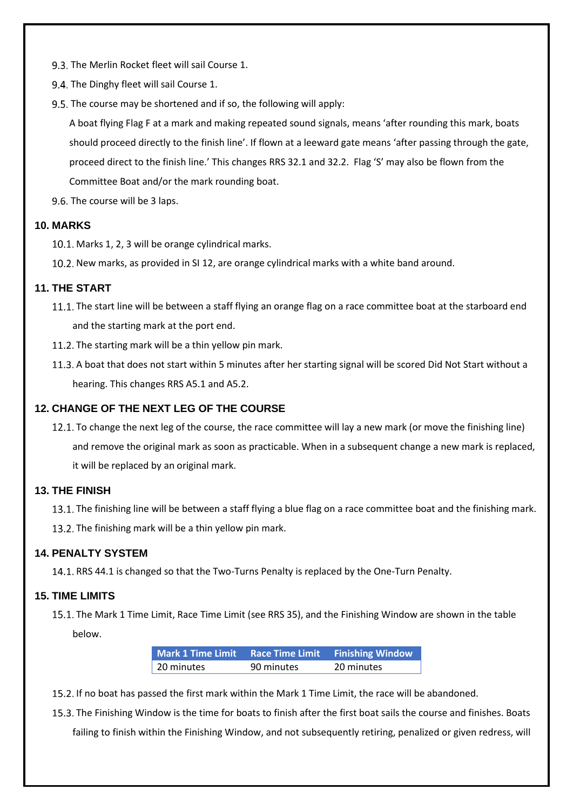- 9.3. The Merlin Rocket fleet will sail Course 1.
- 9.4. The Dinghy fleet will sail Course 1.
- 9.5. The course may be shortened and if so, the following will apply:

A boat flying Flag F at a mark and making repeated sound signals, means 'after rounding this mark, boats should proceed directly to the finish line'. If flown at a leeward gate means 'after passing through the gate, proceed direct to the finish line.' This changes RRS 32.1 and 32.2. Flag 'S' may also be flown from the Committee Boat and/or the mark rounding boat.

9.6. The course will be 3 laps.

#### **10. MARKS**

- 10.1. Marks 1, 2, 3 will be orange cylindrical marks.
- 10.2. New marks, as provided in SI 12, are orange cylindrical marks with a white band around.

#### **11. THE START**

- 11.1. The start line will be between a staff flying an orange flag on a race committee boat at the starboard end and the starting mark at the port end.
- 11.2. The starting mark will be a thin yellow pin mark.
- 11.3. A boat that does not start within 5 minutes after her starting signal will be scored Did Not Start without a hearing. This changes RRS A5.1 and A5.2.

#### **12. CHANGE OF THE NEXT LEG OF THE COURSE**

12.1. To change the next leg of the course, the race committee will lay a new mark (or move the finishing line) and remove the original mark as soon as practicable. When in a subsequent change a new mark is replaced, it will be replaced by an original mark.

#### **13. THE FINISH**

13.1. The finishing line will be between a staff flying a blue flag on a race committee boat and the finishing mark.

13.2. The finishing mark will be a thin yellow pin mark.

#### **14. PENALTY SYSTEM**

14.1. RRS 44.1 is changed so that the Two-Turns Penalty is replaced by the One-Turn Penalty.

#### **15. TIME LIMITS**

15.1. The Mark 1 Time Limit, Race Time Limit (see RRS 35), and the Finishing Window are shown in the table below.

| Mark 1 Time Limit Race Time Limit Finishing Window |            |            |
|----------------------------------------------------|------------|------------|
| 20 minutes                                         | 90 minutes | 20 minutes |

15.2. If no boat has passed the first mark within the Mark 1 Time Limit, the race will be abandoned.

The Finishing Window is the time for boats to finish after the first boat sails the course and finishes. Boats

failing to finish within the Finishing Window, and not subsequently retiring, penalized or given redress, will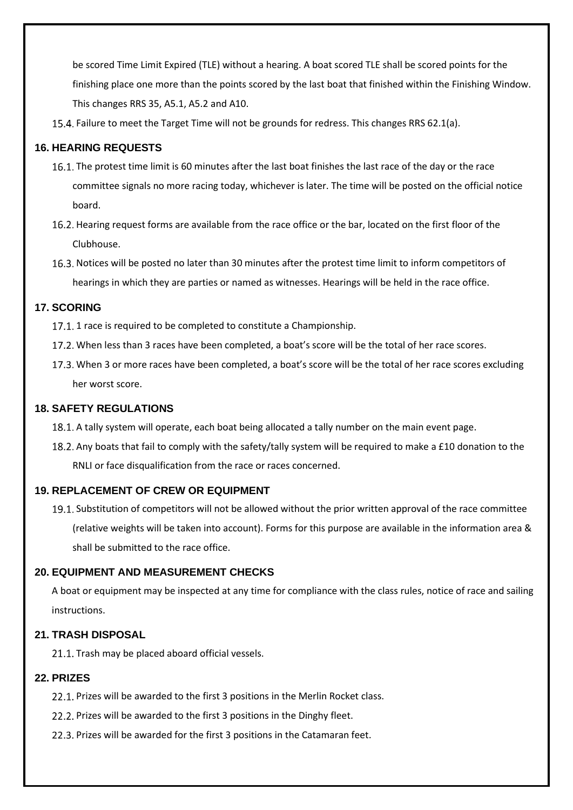be scored Time Limit Expired (TLE) without a hearing. A boat scored TLE shall be scored points for the finishing place one more than the points scored by the last boat that finished within the Finishing Window. This changes RRS 35, A5.1, A5.2 and A10.

15.4. Failure to meet the Target Time will not be grounds for redress. This changes RRS 62.1(a).

#### **16. HEARING REQUESTS**

- The protest time limit is 60 minutes after the last boat finishes the last race of the day or the race committee signals no more racing today, whichever is later. The time will be posted on the official notice board.
- 16.2. Hearing request forms are available from the race office or the bar, located on the first floor of the Clubhouse.
- 16.3. Notices will be posted no later than 30 minutes after the protest time limit to inform competitors of hearings in which they are parties or named as witnesses. Hearings will be held in the race office.

#### **17. SCORING**

- 17.1. 1 race is required to be completed to constitute a Championship.
- When less than 3 races have been completed, a boat's score will be the total of her race scores.
- 17.3. When 3 or more races have been completed, a boat's score will be the total of her race scores excluding her worst score.

#### **18. SAFETY REGULATIONS**

- 18.1. A tally system will operate, each boat being allocated a tally number on the main event page.
- 18.2. Any boats that fail to comply with the safety/tally system will be required to make a £10 donation to the RNLI or face disqualification from the race or races concerned.

#### **19. REPLACEMENT OF CREW OR EQUIPMENT**

19.1. Substitution of competitors will not be allowed without the prior written approval of the race committee (relative weights will be taken into account). Forms for this purpose are available in the information area & shall be submitted to the race office.

#### **20. EQUIPMENT AND MEASUREMENT CHECKS**

A boat or equipment may be inspected at any time for compliance with the class rules, notice of race and sailing instructions.

#### **21. TRASH DISPOSAL**

21.1. Trash may be placed aboard official vessels.

#### **22. PRIZES**

- 22.1. Prizes will be awarded to the first 3 positions in the Merlin Rocket class.
- 22.2. Prizes will be awarded to the first 3 positions in the Dinghy fleet.
- 22.3. Prizes will be awarded for the first 3 positions in the Catamaran feet.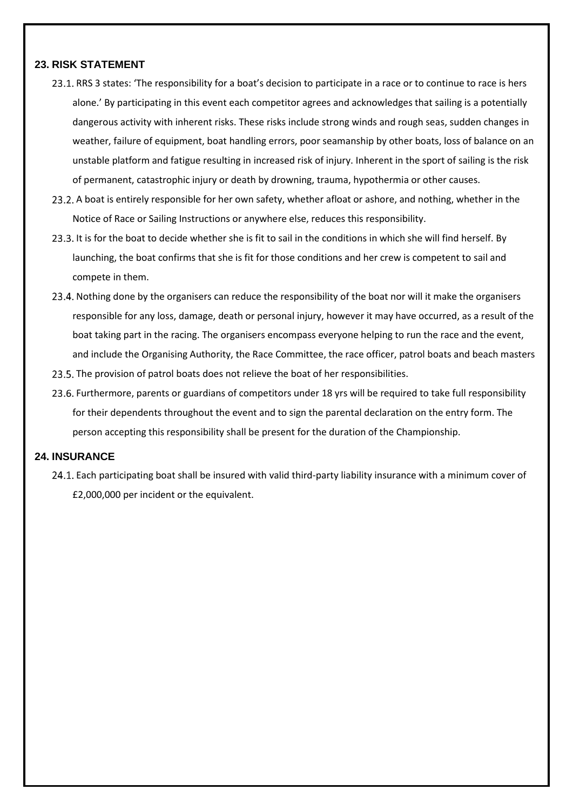#### **23. RISK STATEMENT**

- 23.1. RRS 3 states: 'The responsibility for a boat's decision to participate in a race or to continue to race is hers alone.' By participating in this event each competitor agrees and acknowledges that sailing is a potentially dangerous activity with inherent risks. These risks include strong winds and rough seas, sudden changes in weather, failure of equipment, boat handling errors, poor seamanship by other boats, loss of balance on an unstable platform and fatigue resulting in increased risk of injury. Inherent in the sport of sailing is the risk of permanent, catastrophic injury or death by drowning, trauma, hypothermia or other causes.
- 23.2. A boat is entirely responsible for her own safety, whether afloat or ashore, and nothing, whether in the Notice of Race or Sailing Instructions or anywhere else, reduces this responsibility.
- 23.3. It is for the boat to decide whether she is fit to sail in the conditions in which she will find herself. By launching, the boat confirms that she is fit for those conditions and her crew is competent to sail and compete in them.
- 23.4. Nothing done by the organisers can reduce the responsibility of the boat nor will it make the organisers responsible for any loss, damage, death or personal injury, however it may have occurred, as a result of the boat taking part in the racing. The organisers encompass everyone helping to run the race and the event, and include the Organising Authority, the Race Committee, the race officer, patrol boats and beach masters
- 23.5. The provision of patrol boats does not relieve the boat of her responsibilities.
- 23.6. Furthermore, parents or guardians of competitors under 18 yrs will be required to take full responsibility for their dependents throughout the event and to sign the parental declaration on the entry form. The person accepting this responsibility shall be present for the duration of the Championship.

#### **24. INSURANCE**

24.1. Each participating boat shall be insured with valid third-party liability insurance with a minimum cover of £2,000,000 per incident or the equivalent.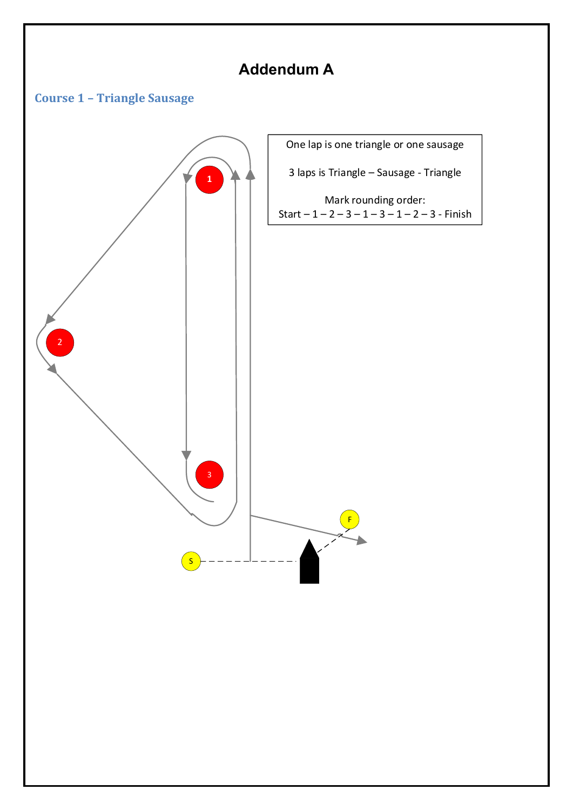